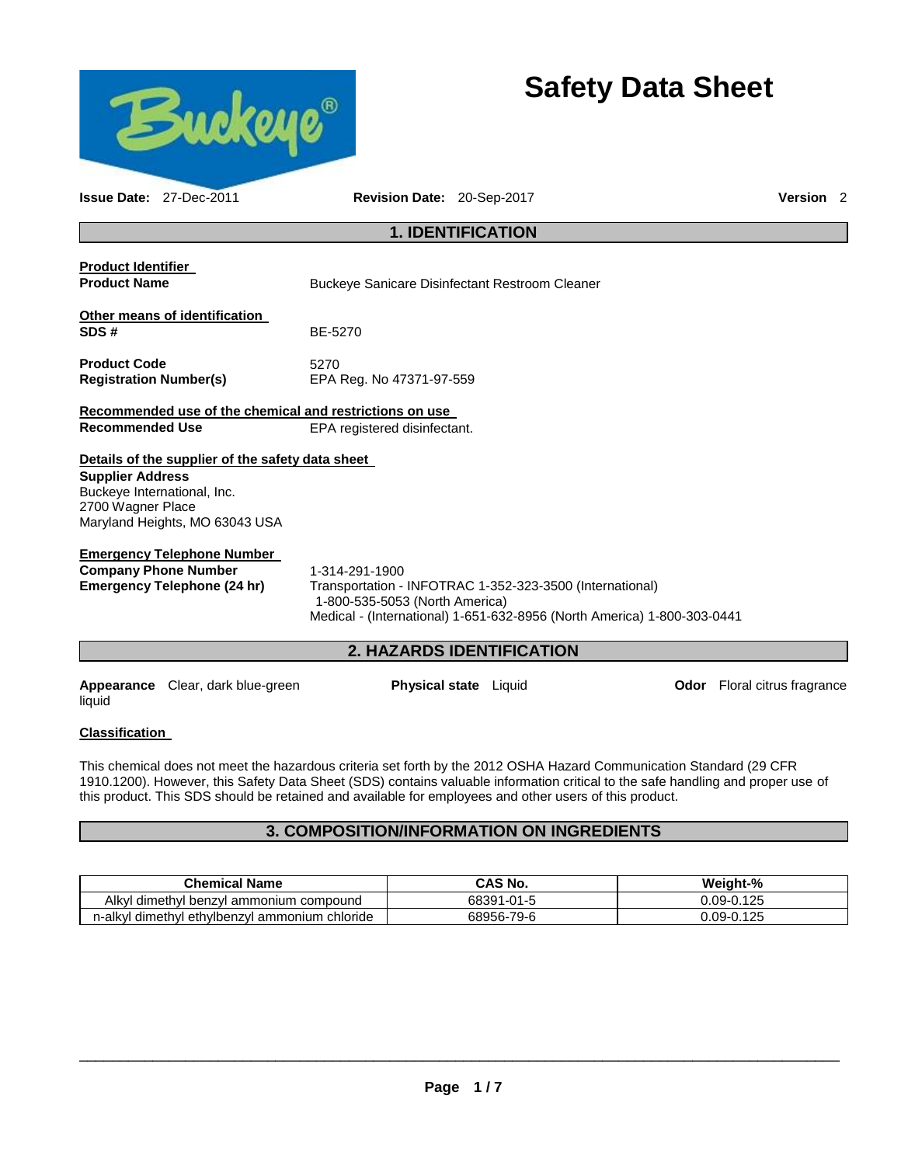

# **Safety Data Sheet**

| <b>Issue Date: 27-Dec-2011</b>                                              |                                                                                    | Revision Date: 20-Sep-2017                              |                                                                                                                                     | Version <sub>2</sub>                |  |
|-----------------------------------------------------------------------------|------------------------------------------------------------------------------------|---------------------------------------------------------|-------------------------------------------------------------------------------------------------------------------------------------|-------------------------------------|--|
|                                                                             |                                                                                    | <b>1. IDENTIFICATION</b>                                |                                                                                                                                     |                                     |  |
| <b>Product Identifier</b><br><b>Product Name</b>                            |                                                                                    | Buckeye Sanicare Disinfectant Restroom Cleaner          |                                                                                                                                     |                                     |  |
| SDS#                                                                        | Other means of identification                                                      | BE-5270                                                 |                                                                                                                                     |                                     |  |
| <b>Product Code</b><br><b>Registration Number(s)</b>                        |                                                                                    | 5270<br>EPA Reg. No 47371-97-559                        |                                                                                                                                     |                                     |  |
|                                                                             |                                                                                    | Recommended use of the chemical and restrictions on use |                                                                                                                                     |                                     |  |
| <b>Recommended Use</b>                                                      |                                                                                    | EPA registered disinfectant.                            |                                                                                                                                     |                                     |  |
| <b>Supplier Address</b><br>Buckeye International, Inc.<br>2700 Wagner Place | Details of the supplier of the safety data sheet<br>Maryland Heights, MO 63043 USA |                                                         |                                                                                                                                     |                                     |  |
| <b>Company Phone Number</b>                                                 | <u>Emergency Telephone Number</u><br>Emergency Telephone (24 hr)                   | 1-314-291-1900<br>1-800-535-5053 (North America)        | Transportation - INFOTRAC 1-352-323-3500 (International)<br>Medical - (International) 1-651-632-8956 (North America) 1-800-303-0441 |                                     |  |
|                                                                             |                                                                                    | 2. HAZARDS IDENTIFICATION                               |                                                                                                                                     |                                     |  |
| liquid                                                                      | Appearance Clear, dark blue-green                                                  | <b>Physical state</b> Liquid                            |                                                                                                                                     | <b>Odor</b> Floral citrus fragrance |  |

## **Classification**

This chemical does not meet the hazardous criteria set forth by the 2012 OSHA Hazard Communication Standard (29 CFR 1910.1200). However, this Safety Data Sheet (SDS) contains valuable information critical to the safe handling and proper use of this product. This SDS should be retained and available for employees and other users of this product.

# **3. COMPOSITION/INFORMATION ON INGREDIENTS**

| <b>Chemical Name</b>                                   | CAS No.    | Weight-%   |
|--------------------------------------------------------|------------|------------|
| Alkvl<br>l dimethyl benzyl ammonium compound.          | 68391-01-5 | 0.09-0.125 |
| n-alkvl<br>l ethvlbenzvl ammonium chloride<br>dimethyl | 68956-79-6 | 0.09-0.125 |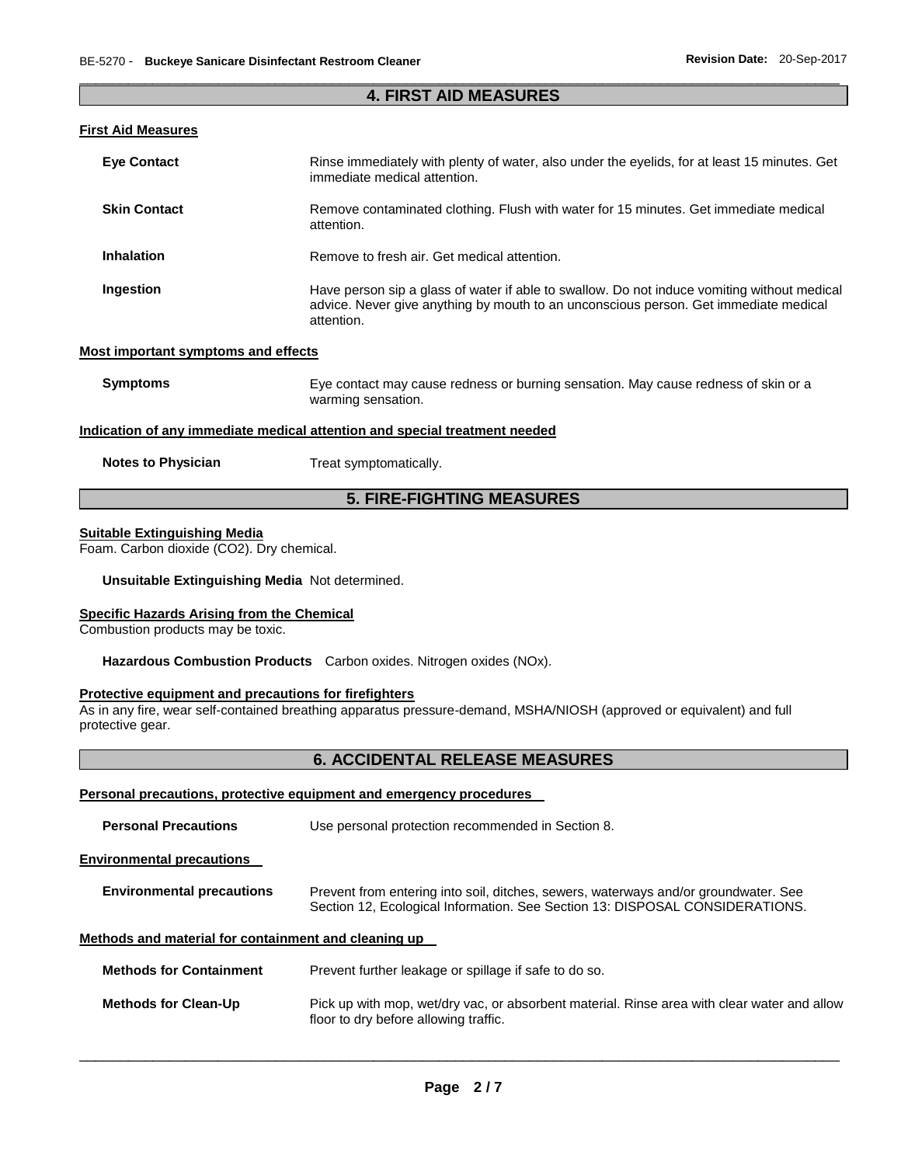### \_\_\_\_\_\_\_\_\_\_\_\_\_\_\_\_\_\_\_\_\_\_\_\_\_\_\_\_\_\_\_\_\_\_\_\_\_\_\_\_\_\_\_\_\_\_\_\_\_\_\_\_\_\_\_\_\_\_\_\_\_\_\_\_\_\_\_\_\_\_\_\_\_\_\_\_\_\_\_\_\_\_\_\_\_\_\_\_\_\_\_\_\_ **4. FIRST AID MEASURES**

## **First Aid Measures**

| <b>Eve Contact</b>                  | Rinse immediately with plenty of water, also under the eyelids, for at least 15 minutes. Get<br>immediate medical attention.                                                                      |
|-------------------------------------|---------------------------------------------------------------------------------------------------------------------------------------------------------------------------------------------------|
| <b>Skin Contact</b>                 | Remove contaminated clothing. Flush with water for 15 minutes. Get immediate medical<br>attention.                                                                                                |
| Inhalation                          | Remove to fresh air. Get medical attention.                                                                                                                                                       |
| Ingestion                           | Have person sip a glass of water if able to swallow. Do not induce vomiting without medical<br>advice. Never give anything by mouth to an unconscious person. Get immediate medical<br>attention. |
| Most important symptoms and effects |                                                                                                                                                                                                   |
| <b>Symptoms</b>                     | Eye contact may cause redness or burning sensation. May cause redness of skin or a<br>warming sensation.                                                                                          |

#### **Indication of any immediate medical attention and special treatment needed**

| <b>Notes to Physician</b> | Treat symptomatically. |
|---------------------------|------------------------|
|---------------------------|------------------------|

# **5. FIRE-FIGHTING MEASURES**

#### **Suitable Extinguishing Media**

Foam. Carbon dioxide (CO2). Dry chemical.

#### **Unsuitable Extinguishing Media** Not determined.

# **Specific Hazards Arising from the Chemical**

Combustion products may be toxic.

**Hazardous Combustion Products** Carbon oxides. Nitrogen oxides (NOx).

# **Protective equipment and precautions for firefighters**

As in any fire, wear self-contained breathing apparatus pressure-demand, MSHA/NIOSH (approved or equivalent) and full protective gear.

## **6. ACCIDENTAL RELEASE MEASURES**

#### **Personal precautions, protective equipment and emergency procedures**

| <b>Personal Precautions</b>                          | Use personal protection recommended in Section 8.                                                                                                                   |
|------------------------------------------------------|---------------------------------------------------------------------------------------------------------------------------------------------------------------------|
| <b>Environmental precautions</b>                     |                                                                                                                                                                     |
| <b>Environmental precautions</b>                     | Prevent from entering into soil, ditches, sewers, waterways and/or groundwater. See<br>Section 12, Ecological Information. See Section 13: DISPOSAL CONSIDERATIONS. |
| Methods and material for containment and cleaning up |                                                                                                                                                                     |
| <b>Methods for Containment</b>                       | Prevent further leakage or spillage if safe to do so.                                                                                                               |
| <b>Methods for Clean-Up</b>                          | Pick up with mop, wet/dry vac, or absorbent material. Rinse area with clear water and allow<br>floor to dry before allowing traffic.                                |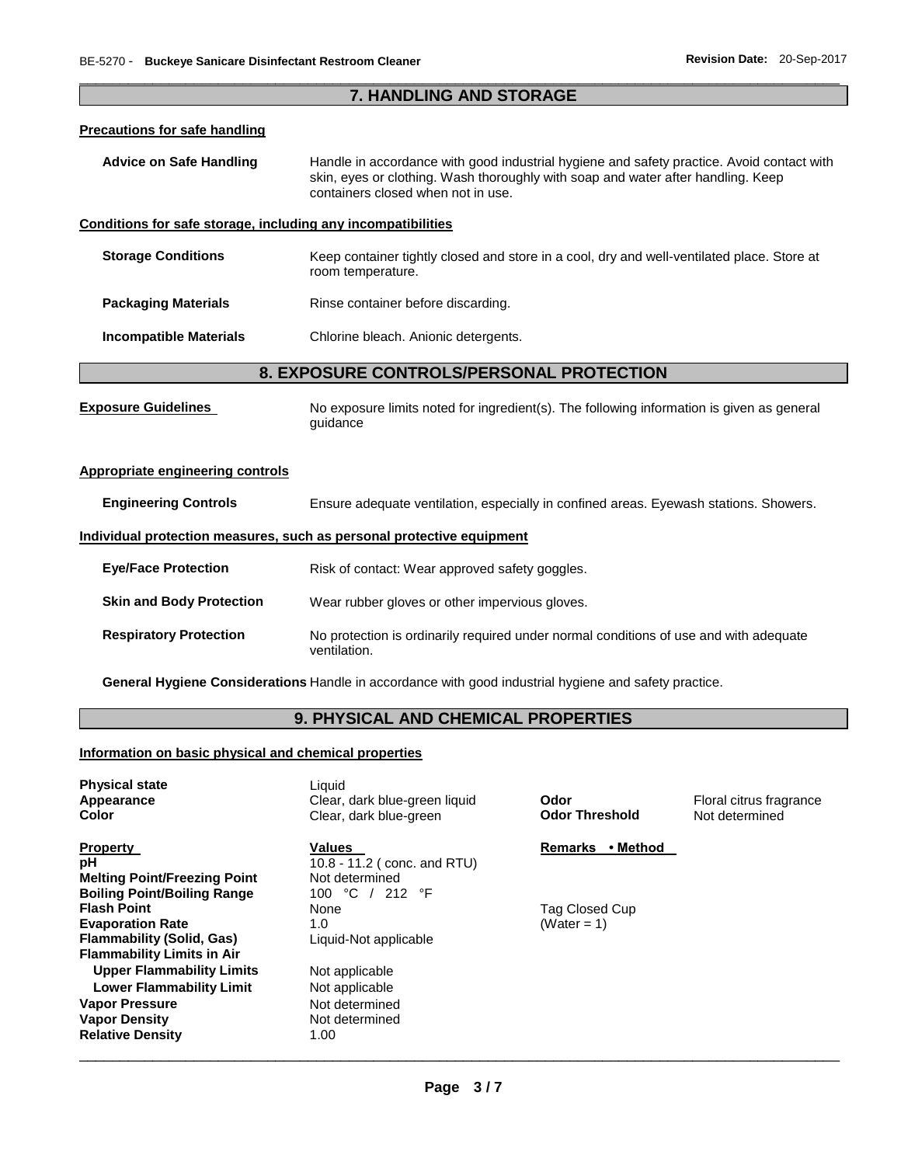# \_\_\_\_\_\_\_\_\_\_\_\_\_\_\_\_\_\_\_\_\_\_\_\_\_\_\_\_\_\_\_\_\_\_\_\_\_\_\_\_\_\_\_\_\_\_\_\_\_\_\_\_\_\_\_\_\_\_\_\_\_\_\_\_\_\_\_\_\_\_\_\_\_\_\_\_\_\_\_\_\_\_\_\_\_\_\_\_\_\_\_\_\_ **7. HANDLING AND STORAGE Precautions for safe handling Advice on Safe Handling** Handle in accordance with good industrial hygiene and safety practice. Avoid contact with skin, eyes or clothing. Wash thoroughly with soap and water after handling. Keep containers closed when not in use. **Conditions for safe storage, including any incompatibilities Storage Conditions Keep container tightly closed and store in a cool, dry and well-ventilated place. Store at** room temperature. **Packaging Materials Rinse container before discarding. Incompatible Materials** Chlorine bleach. Anionic detergents. **8. EXPOSURE CONTROLS/PERSONAL PROTECTION Exposure Guidelines** No exposure limits noted for ingredient(s). The following information is given as general guidance **Appropriate engineering controls Engineering Controls** Ensure adequate ventilation, especially in confined areas. Eyewash stations. Showers. **Individual protection measures, such as personal protective equipment Eye/Face Protection Risk of contact: Wear approved safety goggles. Skin and Body Protection** Wear rubber gloves or other impervious gloves. **Respiratory Protection** No protection is ordinarily required under normal conditions of use and with adequate ventilation. **General Hygiene Considerations** Handle in accordance with good industrial hygiene and safety practice. **9. PHYSICAL AND CHEMICAL PROPERTIES**

#### **Information on basic physical and chemical properties**

| <b>Physical state</b><br>Appearance<br>Color | Liquid<br>Clear, dark blue-green liquid<br>Clear, dark blue-green | Odor<br><b>Odor Threshold</b> | Floral citrus fragrance<br>Not determined |
|----------------------------------------------|-------------------------------------------------------------------|-------------------------------|-------------------------------------------|
| <b>Property</b>                              | Values                                                            | • Method<br><b>Remarks</b>    |                                           |
| рH                                           | 10.8 - 11.2 ( $conc$ . and RTU)                                   |                               |                                           |
| <b>Melting Point/Freezing Point</b>          | Not determined                                                    |                               |                                           |
| <b>Boiling Point/Boiling Range</b>           | 100 °C / 212 °F                                                   |                               |                                           |
| <b>Flash Point</b>                           | None                                                              | Tag Closed Cup                |                                           |
| <b>Evaporation Rate</b>                      | 1.0                                                               | (Water = $1$ )                |                                           |
| <b>Flammability (Solid, Gas)</b>             | Liquid-Not applicable                                             |                               |                                           |
| <b>Flammability Limits in Air</b>            |                                                                   |                               |                                           |
| <b>Upper Flammability Limits</b>             | Not applicable                                                    |                               |                                           |
| <b>Lower Flammability Limit</b>              | Not applicable                                                    |                               |                                           |
| Vapor Pressure                               | Not determined                                                    |                               |                                           |
| <b>Vapor Density</b>                         | Not determined                                                    |                               |                                           |
| <b>Relative Density</b>                      | 1.00                                                              |                               |                                           |
|                                              |                                                                   |                               |                                           |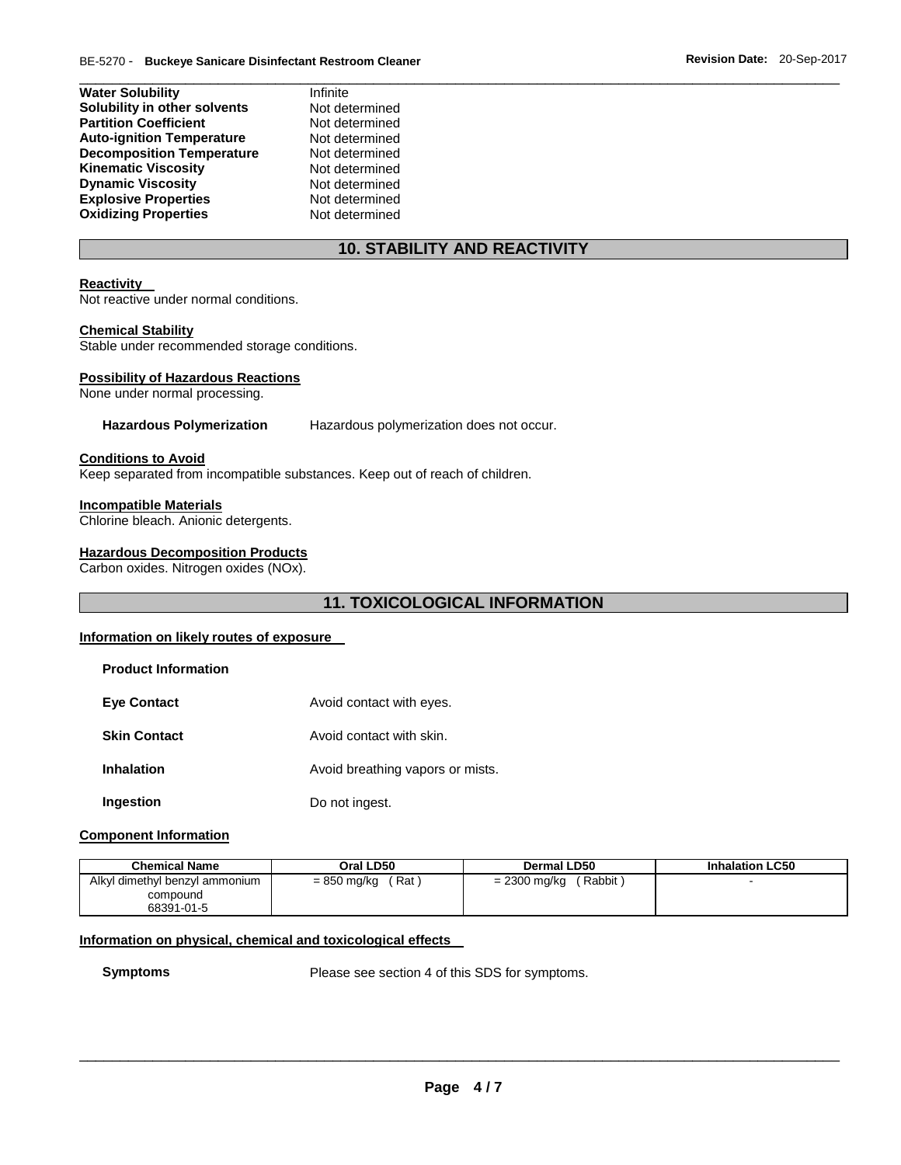| <b>Water Solubility</b>          | Infinite       |
|----------------------------------|----------------|
| Solubility in other solvents     | Not determined |
| <b>Partition Coefficient</b>     | Not determined |
| <b>Auto-ignition Temperature</b> | Not determined |
| <b>Decomposition Temperature</b> | Not determined |
| <b>Kinematic Viscosity</b>       | Not determined |
| <b>Dynamic Viscosity</b>         | Not determined |
| <b>Explosive Properties</b>      | Not determined |
| <b>Oxidizing Properties</b>      | Not determined |

# **10. STABILITY AND REACTIVITY**

\_\_\_\_\_\_\_\_\_\_\_\_\_\_\_\_\_\_\_\_\_\_\_\_\_\_\_\_\_\_\_\_\_\_\_\_\_\_\_\_\_\_\_\_\_\_\_\_\_\_\_\_\_\_\_\_\_\_\_\_\_\_\_\_\_\_\_\_\_\_\_\_\_\_\_\_\_\_\_\_\_\_\_\_\_\_\_\_\_\_\_\_\_

#### **Reactivity**

Not reactive under normal conditions.

#### **Chemical Stability**

Stable under recommended storage conditions.

#### **Possibility of Hazardous Reactions**

None under normal processing.

#### **Hazardous Polymerization** Hazardous polymerization does not occur.

#### **Conditions to Avoid**

Keep separated from incompatible substances. Keep out of reach of children.

#### **Incompatible Materials**

Chlorine bleach. Anionic detergents.

#### **Hazardous Decomposition Products**

Carbon oxides. Nitrogen oxides (NOx).

# **11. TOXICOLOGICAL INFORMATION**

## **Information on likely routes of exposure**

| <b>Product Information</b> |                                  |
|----------------------------|----------------------------------|
| <b>Eve Contact</b>         | Avoid contact with eyes.         |
| <b>Skin Contact</b>        | Avoid contact with skin.         |
| Inhalation                 | Avoid breathing vapors or mists. |
| Ingestion                  | Do not ingest.                   |

#### **Component Information**

| <b>Chemical Name</b>                                     | Oral LD50                       | Dermal LD50              | <b>Inhalation LC50</b> |
|----------------------------------------------------------|---------------------------------|--------------------------|------------------------|
| Alkyl dimethyl benzyl ammonium<br>compound<br>68391-01-5 | Rat <sup>'</sup><br>= 850 mg/kg | Rabbit<br>$= 2300$ mg/kg |                        |

#### **Information on physical, chemical and toxicological effects**

**Symptoms** Please see section 4 of this SDS for symptoms.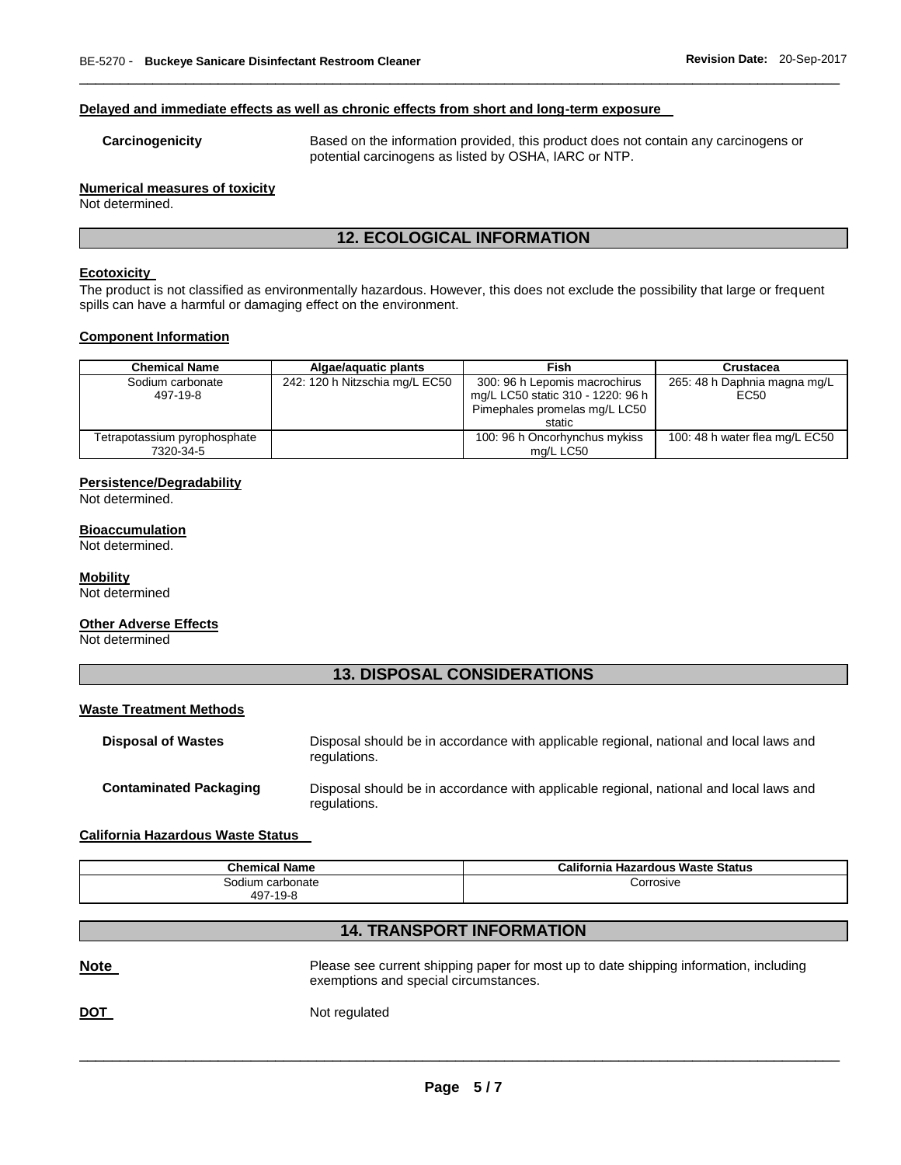#### **Delayed and immediate effects as well as chronic effects from short and long-term exposure**

**Carcinogenicity** Based on the information provided, this product does not contain any carcinogens or potential carcinogens as listed by OSHA, IARC or NTP.

#### **Numerical measures of toxicity**

Not determined.

# **12. ECOLOGICAL INFORMATION**

\_\_\_\_\_\_\_\_\_\_\_\_\_\_\_\_\_\_\_\_\_\_\_\_\_\_\_\_\_\_\_\_\_\_\_\_\_\_\_\_\_\_\_\_\_\_\_\_\_\_\_\_\_\_\_\_\_\_\_\_\_\_\_\_\_\_\_\_\_\_\_\_\_\_\_\_\_\_\_\_\_\_\_\_\_\_\_\_\_\_\_\_\_

#### **Ecotoxicity**

The product is not classified as environmentally hazardous. However, this does not exclude the possibility that large or frequent spills can have a harmful or damaging effect on the environment.

#### **Component Information**

| <b>Chemical Name</b>                      | Algae/aguatic plants           | Fish                                                                                                          | <b>Crustacea</b>                     |
|-------------------------------------------|--------------------------------|---------------------------------------------------------------------------------------------------------------|--------------------------------------|
| Sodium carbonate<br>497-19-8              | 242: 120 h Nitzschia mg/L EC50 | 300: 96 h Lepomis macrochirus<br>mg/L LC50 static 310 - 1220: 96 h<br>Pimephales promelas mg/L LC50<br>static | 265: 48 h Daphnia magna mg/L<br>EC50 |
| Tetrapotassium pyrophosphate<br>7320-34-5 |                                | 100: 96 h Oncorhynchus mykiss<br>mg/L LC50                                                                    | 100: 48 h water flea mg/L EC50       |

#### **Persistence/Degradability**

Not determined.

#### **Bioaccumulation**

Not determined.

#### **Mobility**

Not determined

#### **Other Adverse Effects**

Not determined

# **13. DISPOSAL CONSIDERATIONS**

#### **Waste Treatment Methods**

| <b>Disposal of Wastes</b>     | Disposal should be in accordance with applicable regional, national and local laws and<br>regulations. |
|-------------------------------|--------------------------------------------------------------------------------------------------------|
| <b>Contaminated Packaging</b> | Disposal should be in accordance with applicable regional, national and local laws and<br>regulations. |

#### **California Hazardous Waste Status**

| <b>Chemical Name</b> | California Hazardous Waste Status |
|----------------------|-----------------------------------|
| Sodium carbonate     | Corrosive                         |
| 497-19-8             |                                   |

# **14. TRANSPORT INFORMATION**

| <b>Note</b> | Please see current shipping paper for most up to date shipping information, including<br>exemptions and special circumstances. |
|-------------|--------------------------------------------------------------------------------------------------------------------------------|
| <u>DOT</u>  | Not regulated                                                                                                                  |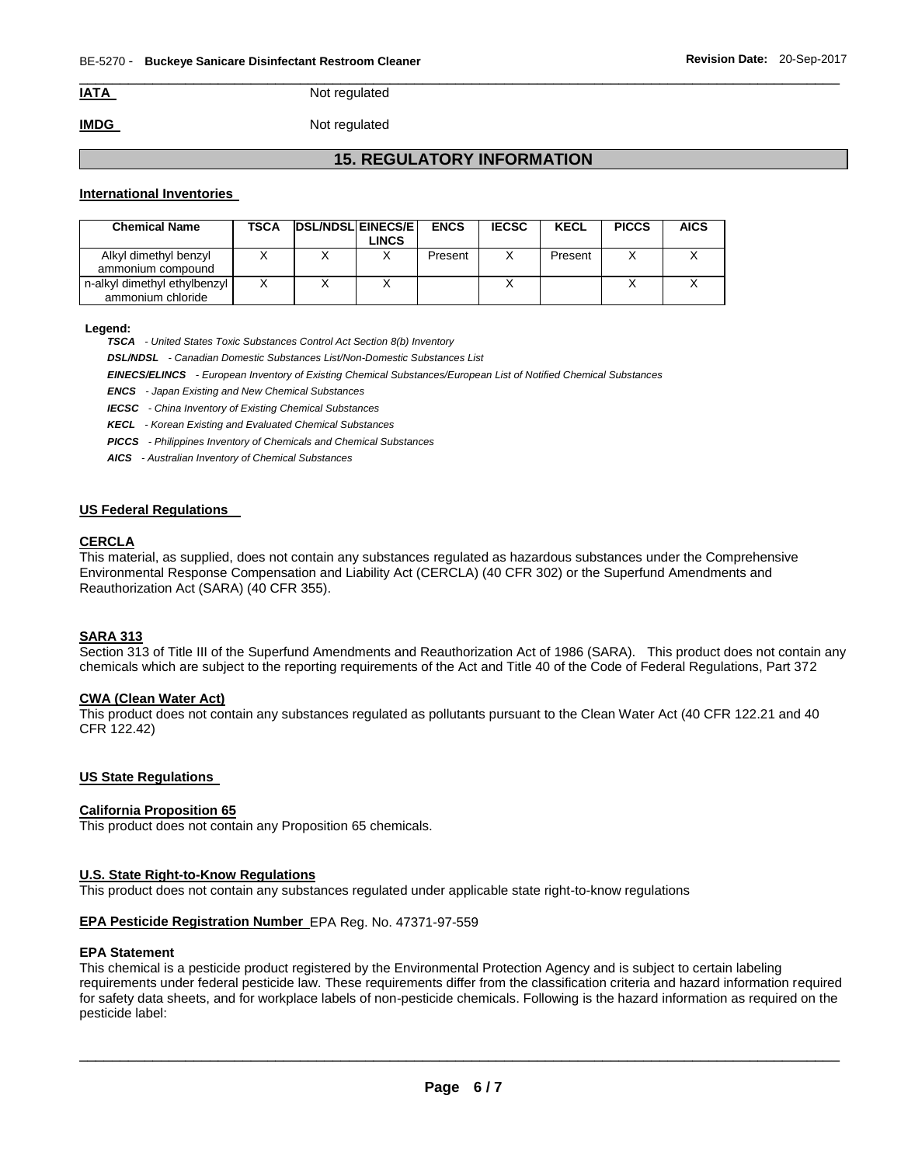**IATA** Not regulated

**IMDG** Not regulated

# **15. REGULATORY INFORMATION**

\_\_\_\_\_\_\_\_\_\_\_\_\_\_\_\_\_\_\_\_\_\_\_\_\_\_\_\_\_\_\_\_\_\_\_\_\_\_\_\_\_\_\_\_\_\_\_\_\_\_\_\_\_\_\_\_\_\_\_\_\_\_\_\_\_\_\_\_\_\_\_\_\_\_\_\_\_\_\_\_\_\_\_\_\_\_\_\_\_\_\_\_\_

#### **International Inventories**

| <b>Chemical Name</b>                              | TSCA | <b>IDSL/NDSLIEINECS/EI</b> | ∟INCS | <b>ENCS</b> | <b>IECSC</b> | <b>KECL</b> | <b>PICCS</b> | <b>AICS</b> |
|---------------------------------------------------|------|----------------------------|-------|-------------|--------------|-------------|--------------|-------------|
| Alkyl dimethyl benzyl<br>ammonium compound        |      |                            |       | Present     |              | Present     |              |             |
| n-alkyl dimethyl ethylbenzyl<br>ammonium chloride |      |                            |       |             |              |             |              |             |

#### **Legend:**

*TSCA - United States Toxic Substances Control Act Section 8(b) Inventory* 

*DSL/NDSL - Canadian Domestic Substances List/Non-Domestic Substances List* 

*EINECS/ELINCS - European Inventory of Existing Chemical Substances/European List of Notified Chemical Substances* 

*ENCS - Japan Existing and New Chemical Substances* 

*IECSC - China Inventory of Existing Chemical Substances* 

*KECL - Korean Existing and Evaluated Chemical Substances* 

*PICCS - Philippines Inventory of Chemicals and Chemical Substances* 

*AICS - Australian Inventory of Chemical Substances* 

#### **US Federal Regulations**

#### **CERCLA**

This material, as supplied, does not contain any substances regulated as hazardous substances under the Comprehensive Environmental Response Compensation and Liability Act (CERCLA) (40 CFR 302) or the Superfund Amendments and Reauthorization Act (SARA) (40 CFR 355).

#### **SARA 313**

Section 313 of Title III of the Superfund Amendments and Reauthorization Act of 1986 (SARA). This product does not contain any chemicals which are subject to the reporting requirements of the Act and Title 40 of the Code of Federal Regulations, Part 372

#### **CWA (Clean Water Act)**

This product does not contain any substances regulated as pollutants pursuant to the Clean Water Act (40 CFR 122.21 and 40 CFR 122.42)

#### **US State Regulations**

#### **California Proposition 65**

This product does not contain any Proposition 65 chemicals.

#### **U.S. State Right-to-Know Regulations**

This product does not contain any substances regulated under applicable state right-to-know regulations

#### **EPA Pesticide Registration Number** EPA Reg. No. 47371-97-559

#### **EPA Statement**

This chemical is a pesticide product registered by the Environmental Protection Agency and is subject to certain labeling requirements under federal pesticide law. These requirements differ from the classification criteria and hazard information required for safety data sheets, and for workplace labels of non-pesticide chemicals. Following is the hazard information as required on the pesticide label: